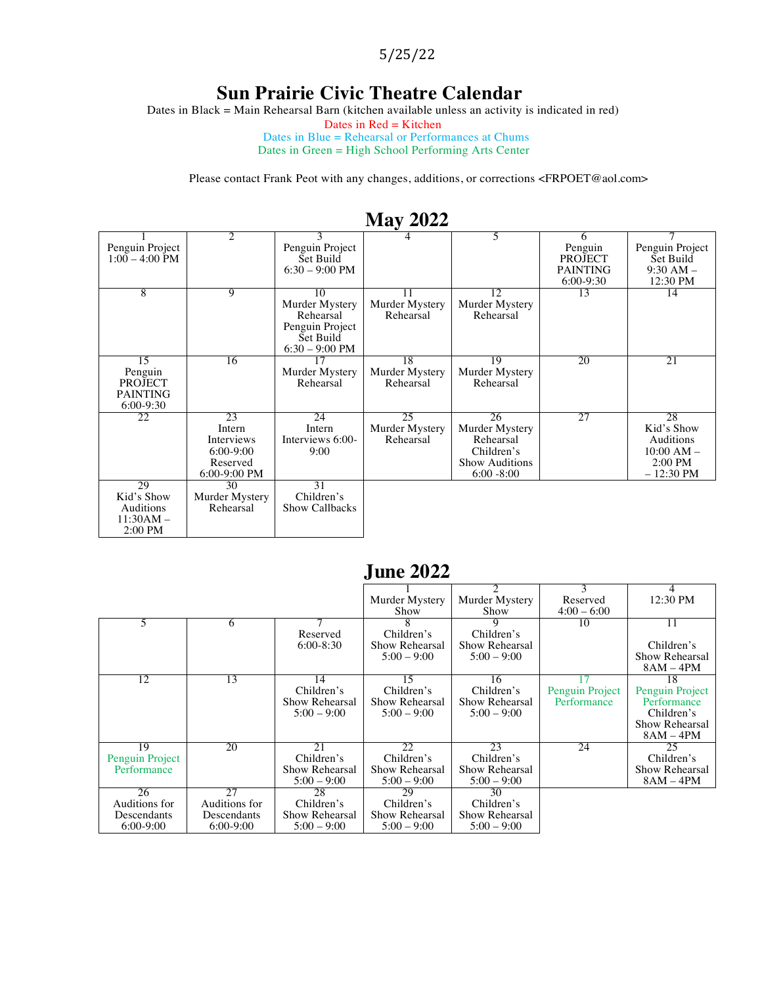5/25/22

#### **Sun Prairie Civic Theatre Calendar**

Dates in Black = Main Rehearsal Barn (kitchen available unless an activity is indicated in red)

Dates in  $Red =$ Kitchen

Dates in Blue = Rehearsal or Performances at Chums Dates in Green = High School Performing Arts Center

Please contact Frank Peot with any changes, additions, or corrections <FRPOET@aol.com>

| 1714 Y 2022      |                |                       |                |                       |                 |                 |  |  |
|------------------|----------------|-----------------------|----------------|-----------------------|-----------------|-----------------|--|--|
|                  | 2              |                       |                | 5.                    | 6               |                 |  |  |
| Penguin Project  |                | Penguin Project       |                |                       | Penguin         | Penguin Project |  |  |
| $1:00 - 4:00$ PM |                | Set Build             |                |                       | <b>PROJECT</b>  | Set Build       |  |  |
|                  |                | $6:30 - 9:00$ PM      |                |                       | <b>PAINTING</b> | $9:30 AM -$     |  |  |
|                  |                |                       |                |                       | $6:00-9:30$     | 12:30 PM        |  |  |
| 8                | $\overline{9}$ | 10                    | 11             | 12                    | 13              | 14              |  |  |
|                  |                | Murder Mystery        | Murder Mystery | Murder Mystery        |                 |                 |  |  |
|                  |                | Rehearsal             | Rehearsal      | Rehearsal             |                 |                 |  |  |
|                  |                | Penguin Project       |                |                       |                 |                 |  |  |
|                  |                | Set Build             |                |                       |                 |                 |  |  |
|                  |                | $6:30 - 9:00$ PM      |                |                       |                 |                 |  |  |
| 15               | 16             | 17                    | 18             | 19                    | 20              | 21              |  |  |
| Penguin          |                | Murder Mystery        | Murder Mystery | Murder Mystery        |                 |                 |  |  |
| <b>PROJECT</b>   |                | Rehearsal             | Rehearsal      | Rehearsal             |                 |                 |  |  |
| <b>PAINTING</b>  |                |                       |                |                       |                 |                 |  |  |
| $6:00-9:30$      |                |                       |                |                       |                 |                 |  |  |
| 22               | 23             | 24                    | 25             | 26                    | 27              | 28              |  |  |
|                  | Intern         | Intern                | Murder Mystery | Murder Mystery        |                 | Kid's Show      |  |  |
|                  | Interviews     | Interviews 6:00-      | Rehearsal      | Rehearsal             |                 | Auditions       |  |  |
|                  | $6:00-9:00$    | 9:00                  |                | Children's            |                 | $10:00 AM -$    |  |  |
|                  | Reserved       |                       |                | <b>Show Auditions</b> |                 | $2:00$ PM       |  |  |
|                  | 6:00-9:00 PM   |                       |                | $6:00 - 8:00$         |                 | $-12:30$ PM     |  |  |
| 29               | 30             | 31                    |                |                       |                 |                 |  |  |
| Kid's Show       | Murder Mystery | Children's            |                |                       |                 |                 |  |  |
| Auditions        | Rehearsal      | <b>Show Callbacks</b> |                |                       |                 |                 |  |  |
| $11:30AM -$      |                |                       |                |                       |                 |                 |  |  |
| $2:00$ PM        |                |                       |                |                       |                 |                 |  |  |

#### **May 2022**

|                 |               |                | June 2022.     |                |                 |                 |
|-----------------|---------------|----------------|----------------|----------------|-----------------|-----------------|
|                 |               |                | Murder Mystery | Murder Mystery | 3<br>Reserved   | 4<br>12:30 PM   |
|                 |               |                | Show           | Show           | $4:00 - 6:00$   |                 |
|                 | 6             |                |                | 9              | 10              | 11              |
|                 |               | Reserved       | Children's     | Children's     |                 |                 |
|                 |               | $6:00 - 8:30$  | Show Rehearsal | Show Rehearsal |                 | Children's      |
|                 |               |                | $5:00 - 9:00$  | $5:00 - 9:00$  |                 | Show Rehearsal  |
|                 |               |                |                |                |                 | $8AM - 4PM$     |
| 12              | 13            | 14             | 15             | 16             |                 | 18              |
|                 |               | Children's     | Children's     | Children's     | Penguin Project | Penguin Project |
|                 |               | Show Rehearsal | Show Rehearsal | Show Rehearsal | Performance     | Performance     |
|                 |               | $5:00 - 9:00$  | $5:00 - 9:00$  | $5:00 - 9:00$  |                 | Children's      |
|                 |               |                |                |                |                 | Show Rehearsal  |
|                 |               |                |                |                |                 | $8AM - 4PM$     |
| 19              | 20            | 21             | 22             | 23             | 24              | 25              |
| Penguin Project |               | Children's     | Children's     | Children's     |                 | Children's      |
| Performance     |               | Show Rehearsal | Show Rehearsal | Show Rehearsal |                 | Show Rehearsal  |
|                 |               | $5:00 - 9:00$  | $5:00 - 9:00$  | $5:00 - 9:00$  |                 | 8AM – 4PM       |
| 26              | 27            | 28             | 29             | 30             |                 |                 |
| Auditions for   | Auditions for | Children's     | Children's     | Children's     |                 |                 |
| Descendants     | Descendants   | Show Rehearsal | Show Rehearsal | Show Rehearsal |                 |                 |
| $6:00-9:00$     | $6:00-9:00$   | $5:00 - 9:00$  | $5:00 - 9:00$  | $5:00 - 9:00$  |                 |                 |

## **June 2022**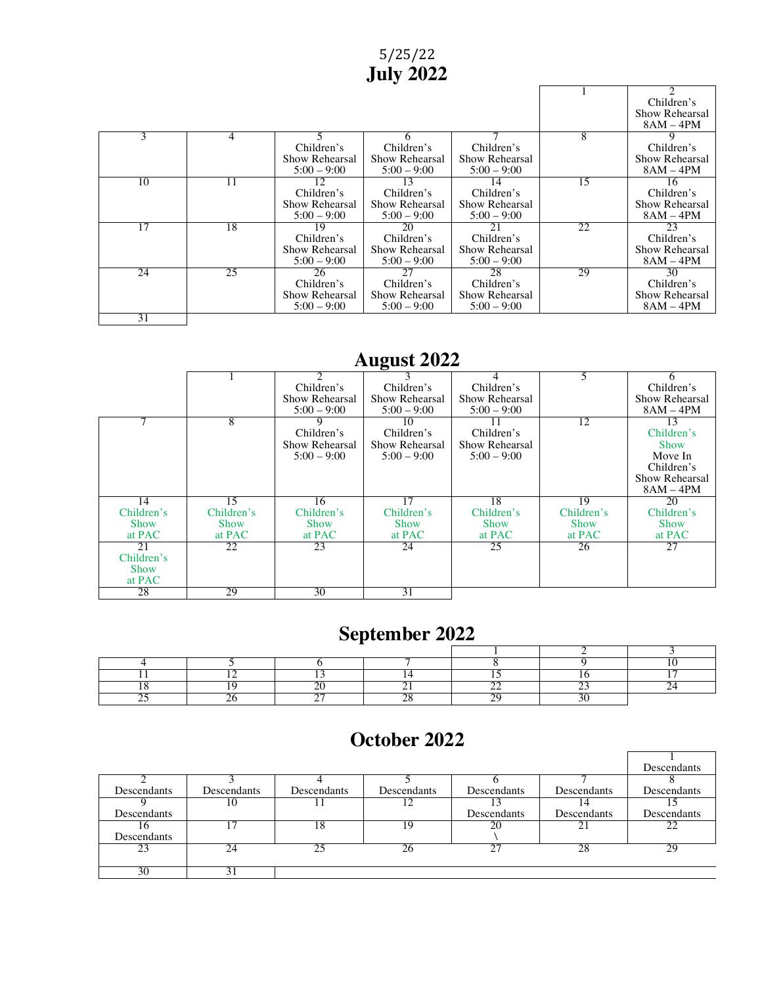#### 5/25/22 **July 2022**

٦

|    |    |                |                |                |    | Children's     |
|----|----|----------------|----------------|----------------|----|----------------|
|    |    |                |                |                |    | Show Rehearsal |
|    |    |                |                |                |    | $8AM - 4PM$    |
| 3  | 4  |                | <sub>t</sub>   |                | 8  |                |
|    |    | Children's     | Children's     | Children's     |    | Children's     |
|    |    | Show Rehearsal | Show Rehearsal | Show Rehearsal |    | Show Rehearsal |
|    |    | $5:00 - 9:00$  | $5:00 - 9:00$  | $5:00 - 9:00$  |    | $8AM - 4PM$    |
| 10 | 11 | 12             | 13             | 14             | 15 | 16             |
|    |    | Children's     | Children's     | Children's     |    | Children's     |
|    |    | Show Rehearsal | Show Rehearsal | Show Rehearsal |    | Show Rehearsal |
|    |    | $5:00 - 9:00$  | $5:00 - 9:00$  | $5:00 - 9:00$  |    | $8AM - 4PM$    |
| 17 | 18 | 19             | 20             | 21             | 22 | 23             |
|    |    | Children's     | Children's     | Children's     |    | Children's     |
|    |    | Show Rehearsal | Show Rehearsal | Show Rehearsal |    | Show Rehearsal |
|    |    | $5:00 - 9:00$  | $5:00 - 9:00$  | $5:00 - 9:00$  |    | $8AM - 4PM$    |
| 24 | 25 | 26             | 27             | 28             | 29 | 30             |
|    |    | Children's     | Children's     | Children's     |    | Children's     |
|    |    | Show Rehearsal | Show Rehearsal | Show Rehearsal |    | Show Rehearsal |
|    |    | $5:00 - 9:00$  | $5:00 - 9:00$  | $5:00 - 9:00$  |    | $8AM - 4PM$    |
| 31 |    |                |                |                |    |                |

## **August 2022**

|             |             |                | ັ              |                |             | 6              |
|-------------|-------------|----------------|----------------|----------------|-------------|----------------|
|             |             | Children's     | Children's     | Children's     |             | Children's     |
|             |             | Show Rehearsal | Show Rehearsal | Show Rehearsal |             | Show Rehearsal |
|             |             | $5:00 - 9:00$  | $5:00 - 9:00$  | $5:00 - 9:00$  |             | $8AM - 4PM$    |
| ⇁           | 8           | 9              | 10             |                | 12          | 13             |
|             |             | Children's     | Children's     | Children's     |             | Children's     |
|             |             | Show Rehearsal | Show Rehearsal | Show Rehearsal |             | <b>Show</b>    |
|             |             | $5:00 - 9:00$  | $5:00 - 9:00$  | $5:00 - 9:00$  |             | Move In        |
|             |             |                |                |                |             | Children's     |
|             |             |                |                |                |             | Show Rehearsal |
|             |             |                |                |                |             | $8AM - 4PM$    |
| 14          | 15          | 16             | 17             | 18             | 19          | 20             |
| Children's  | Children's  | Children's     | Children's     | Children's     | Children's  | Children's     |
| <b>Show</b> | <b>Show</b> | Show           | <b>Show</b>    | <b>Show</b>    | <b>Show</b> | <b>Show</b>    |
| at PAC      | at PAC      | at PAC         | at PAC         | at PAC         | at PAC      | at PAC         |
| 21          | 22          | 23             | 24             | 25             | 26          | 27             |
| Children's  |             |                |                |                |             |                |
| <b>Show</b> |             |                |                |                |             |                |
| at PAC      |             |                |                |                |             |                |
| 28          | 29          | 30             | 31             |                |             |                |

# **September 2022**

# **October 2022**

|             |             |             |             |             |                    | Descendants |
|-------------|-------------|-------------|-------------|-------------|--------------------|-------------|
|             |             |             |             |             |                    |             |
| Descendants | Descendants | Descendants | Descendants | Descendants | <b>Descendants</b> | Descendants |
|             | 10          |             |             |             | 14                 |             |
| Descendants |             |             |             | Descendants | <b>Descendants</b> | Descendants |
| 16          |             | 18          | 19          | 20          | $\mathbb{Z}^+$     | 22.         |
| Descendants |             |             |             |             |                    |             |
| 23          | 24          |             | $26 -$      | 27          | 28                 | 29          |
|             |             |             |             |             |                    |             |
| 30          |             |             |             |             |                    |             |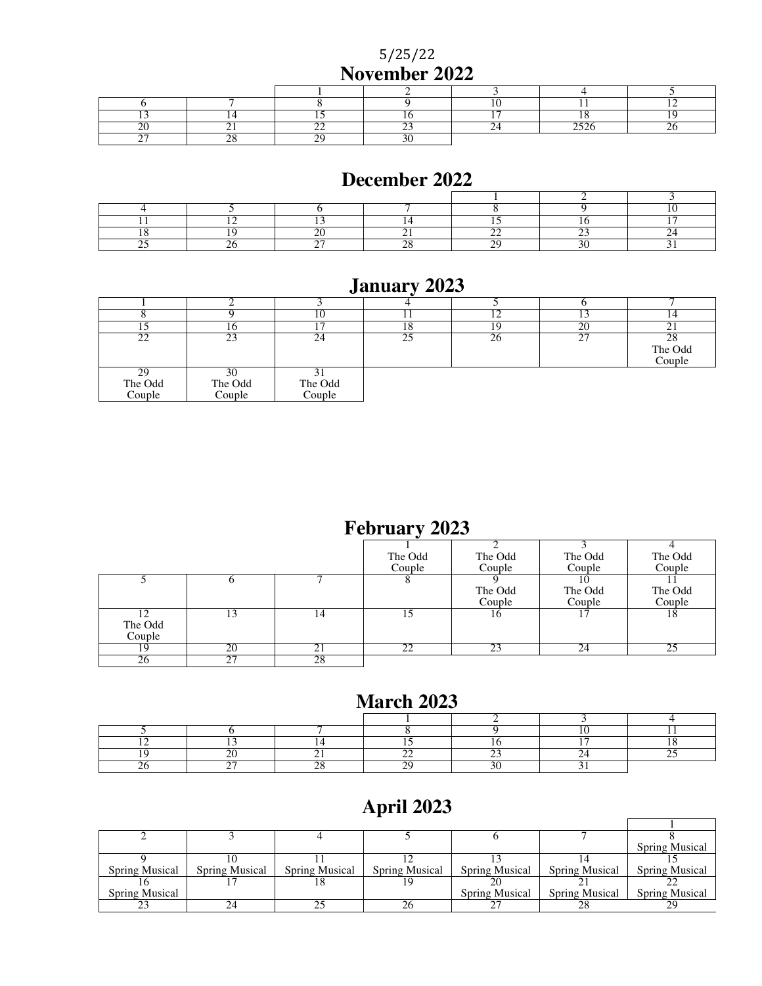5/25/22 **November 2022**

## **December 2022**

# **January 2023**

|                         | ιν                      |                   | ıο | ۱9 | 20 | ∸ ⊥                     |
|-------------------------|-------------------------|-------------------|----|----|----|-------------------------|
| --                      | 23                      | 24                |    | 20 |    | 28<br>The Odd<br>Couple |
| 29<br>The Odd<br>Couple | 30<br>The Odd<br>Couple | The Odd<br>Couple |    |    |    |                         |

# **February 2023**

|         |    |             | The Odd | The Odd | The Odd | The Odd |
|---------|----|-------------|---------|---------|---------|---------|
|         |    |             | Couple  | Couple  | Couple  | Couple  |
|         |    |             |         |         |         |         |
|         |    |             |         | The Odd | The Odd | The Odd |
|         |    |             |         | Couple  | Couple  | Couple  |
|         |    | 14          |         | 16      |         | 18      |
| The Odd |    |             |         |         |         |         |
| Couple  |    |             |         |         |         |         |
| 19      | 20 | $2^{\cdot}$ | 22      | 23      | 24      | 25      |
| ŻΘ      |    | 28          |         |         |         |         |

## **March 2023**

# **April 2023**

|                       |                       |                       |                       |                       |                       | <b>Spring Musical</b> |
|-----------------------|-----------------------|-----------------------|-----------------------|-----------------------|-----------------------|-----------------------|
|                       |                       |                       |                       |                       |                       |                       |
| <b>Spring Musical</b> | <b>Spring Musical</b> | <b>Spring Musical</b> | <b>Spring Musical</b> | <b>Spring Musical</b> | <b>Spring Musical</b> | <b>Spring Musical</b> |
|                       |                       |                       | 19                    |                       |                       |                       |
| Spring Musical        |                       |                       |                       | Spring Musical        | <b>Spring Musical</b> | Spring Musical        |
|                       |                       |                       |                       |                       | າຈ                    | 29                    |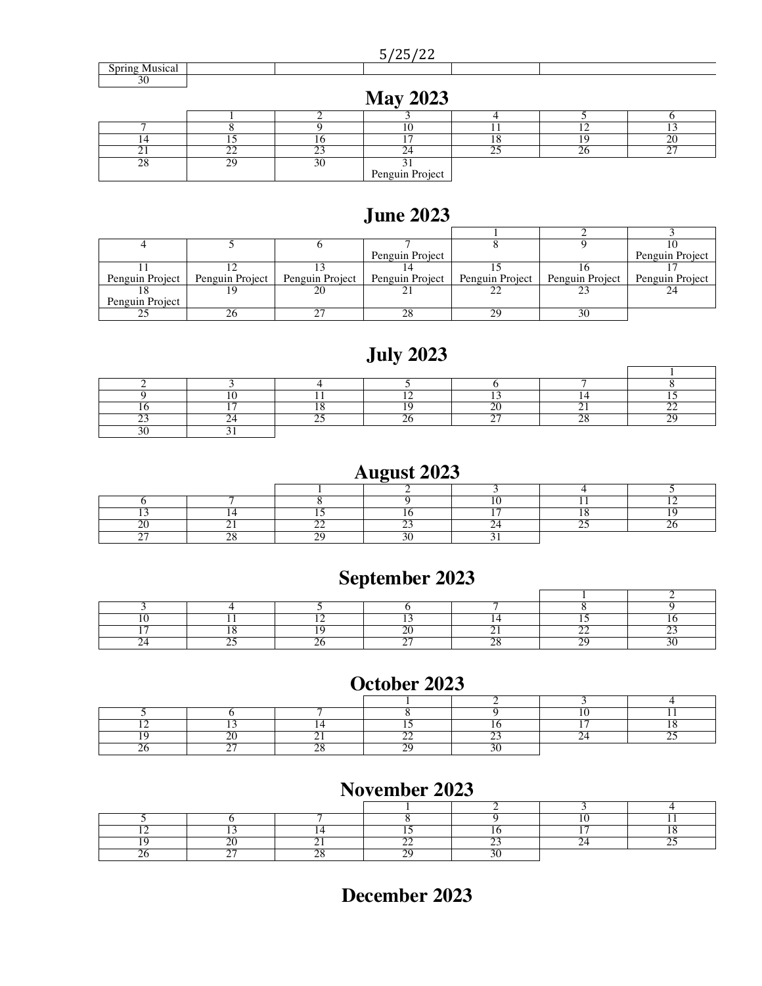#### 5/25/22

|                        | ------<br>____<br>$\sim$   |  |
|------------------------|----------------------------|--|
| Мне109<br>oluai<br>UPL |                            |  |
| $\sim$<br>$\sim$       |                            |  |
|                        | $\mathbf{A}$<br>$M = 2002$ |  |

| Niay $2025$ |  |  |                 |  |  |            |  |
|-------------|--|--|-----------------|--|--|------------|--|
|             |  |  |                 |  |  |            |  |
|             |  |  |                 |  |  |            |  |
|             |  |  |                 |  |  |            |  |
|             |  |  |                 |  |  | $\sim$ $-$ |  |
|             |  |  |                 |  |  |            |  |
|             |  |  | Penguin Project |  |  |            |  |

## **June 2023**

|                 |  | Penguin Project                                                       |    |                                   | Penguin Project |
|-----------------|--|-----------------------------------------------------------------------|----|-----------------------------------|-----------------|
|                 |  |                                                                       |    |                                   |                 |
|                 |  | Penguin Project   Penguin Project   Penguin Project   Penguin Project |    | Penguin Project   Penguin Project | Penguin Project |
|                 |  |                                                                       |    |                                   |                 |
| Penguin Project |  |                                                                       |    |                                   |                 |
|                 |  |                                                                       | 29 |                                   |                 |

# **July 2023**

## **August 2023**

## **September 2023**

#### **October 2023**

#### **November 2023**

## **December 2023**